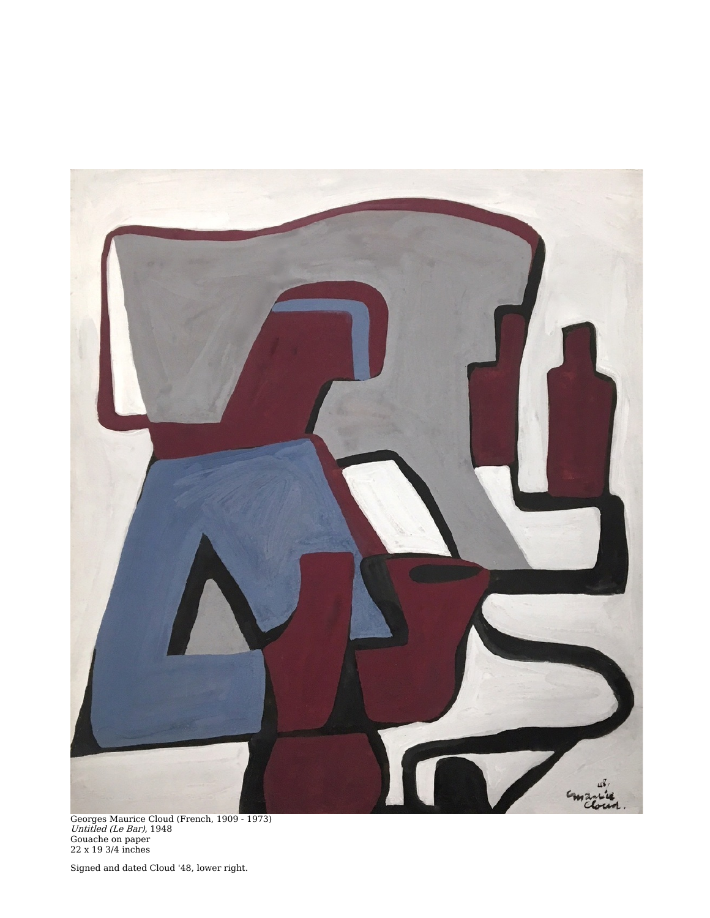

Georges Maurice Cloud (French, 1909 - 1973) Untitled (Le Bar), 1948 Gouache on paper 22 x 19 3/4 inches

Signed and dated Cloud '48, lower right.